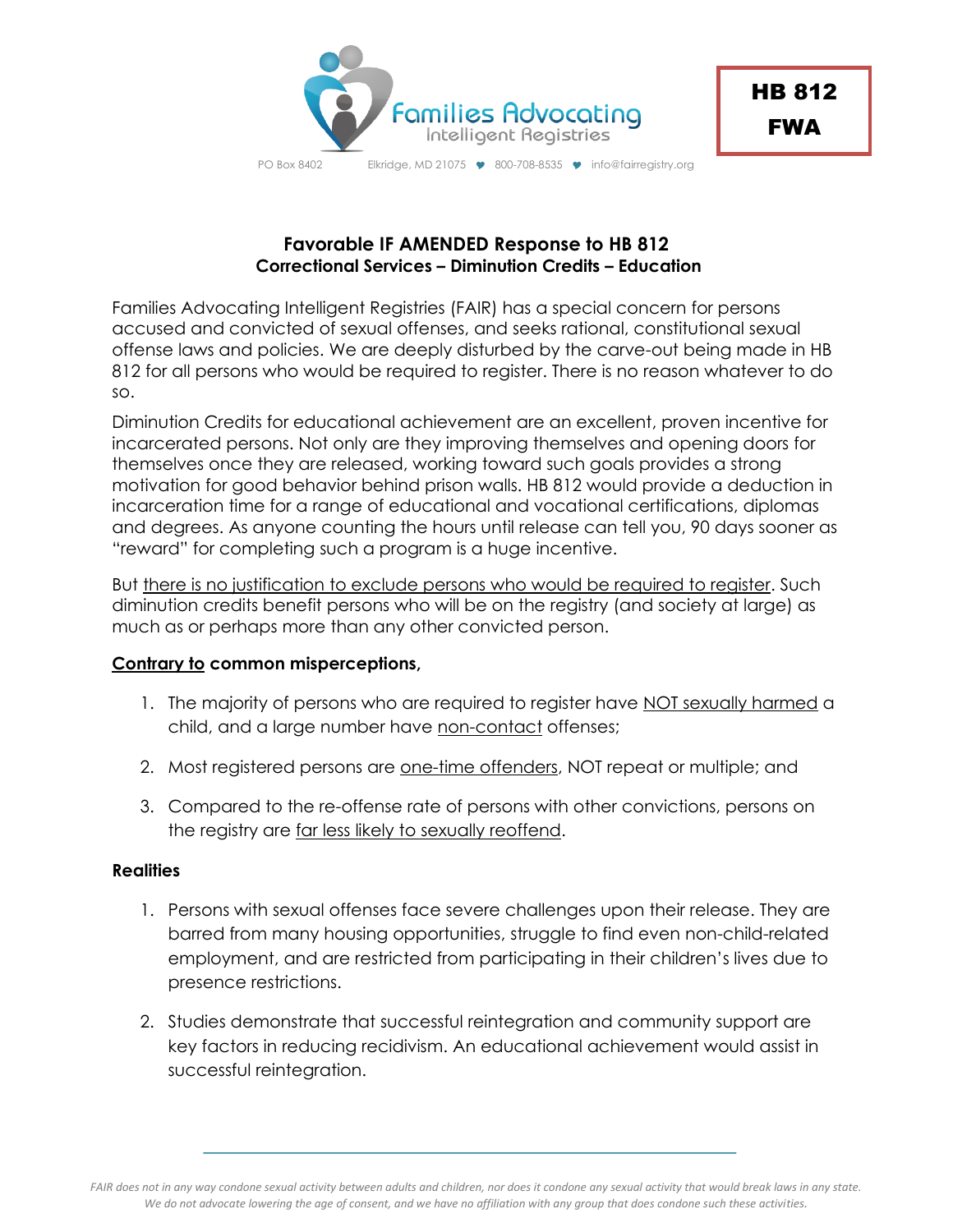

PO Box 8402 Elkridge, MD 21075 9 800-708-8535 9 info@fairregistry.org

## **Favorable IF AMENDED Response to HB 812 Correctional Services – Diminution Credits – Education**

Families Advocating Intelligent Registries (FAIR) has a special concern for persons accused and convicted of sexual offenses, and seeks rational, constitutional sexual offense laws and policies. We are deeply disturbed by the carve-out being made in HB 812 for all persons who would be required to register. There is no reason whatever to do so.

Diminution Credits for educational achievement are an excellent, proven incentive for incarcerated persons. Not only are they improving themselves and opening doors for themselves once they are released, working toward such goals provides a strong motivation for good behavior behind prison walls. HB 812 would provide a deduction in incarceration time for a range of educational and vocational certifications, diplomas and degrees. As anyone counting the hours until release can tell you, 90 days sooner as "reward" for completing such a program is a huge incentive.

But there is no justification to exclude persons who would be required to register. Such diminution credits benefit persons who will be on the registry (and society at large) as much as or perhaps more than any other convicted person.

## **Contrary to common misperceptions,**

- 1. The majority of persons who are required to register have NOT sexually harmed a child, and a large number have non-contact offenses;
- 2. Most registered persons are one-time offenders, NOT repeat or multiple; and
- 3. Compared to the re-offense rate of persons with other convictions, persons on the registry are far less likely to sexually reoffend.

## **Realities**

- 1. Persons with sexual offenses face severe challenges upon their release. They are barred from many housing opportunities, struggle to find even non-child-related employment, and are restricted from participating in their children's lives due to presence restrictions.
- 2. Studies demonstrate that successful reintegration and community support are key factors in reducing recidivism. An educational achievement would assist in successful reintegration.

*FAIR does not in any way condone sexual activity between adults and children, nor does it condone any sexual activity that would break laws in any state. We do not advocate lowering the age of consent, and we have no affiliation with any group that does condone such these activities.*